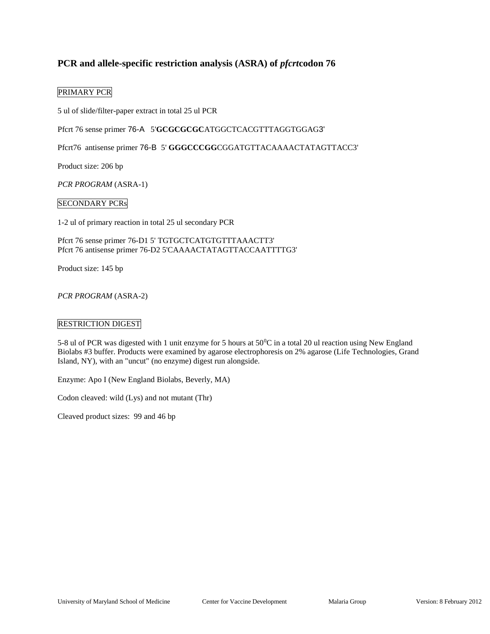# **PCR and allele-specific restriction analysis (ASRA) of** *pfcrt***codon 76**

# PRIMARY PCR

5 ul of slide/filter-paper extract in total 25 ul PCR

Pfcrt 76 sense primer 76-A 5'**GCGCGCGC**ATGGCTCACGTTTAGGTGGAG3'

Pfcrt76 antisense primer 76-B 5' **GGGCCCGG**CGGATGTTACAAAACTATAGTTACC3'

Product size: 206 bp

*PCR PROGRAM* (ASRA-1)

### SECONDARY PCRs

1-2 ul of primary reaction in total 25 ul secondary PCR

Pfcrt 76 sense primer 76-D1 5' TGTGCTCATGTGTTTAAACTT3' Pfcrt 76 antisense primer 76-D2 5'CAAAACTATAGTTACCAATTTTG3'

Product size: 145 bp

*PCR PROGRAM* (ASRA-2)

### RESTRICTION DIGEST

5-8 ul of PCR was digested with 1 unit enzyme for 5 hours at 50<sup>0</sup>C in a total 20 ul reaction using New England Biolabs #3 buffer. Products were examined by agarose electrophoresis on 2% agarose (Life Technologies, Grand Island, NY), with an "uncut" (no enzyme) digest run alongside.

Enzyme: Apo I (New England Biolabs, Beverly, MA)

Codon cleaved: wild (Lys) and not mutant (Thr)

Cleaved product sizes: 99 and 46 bp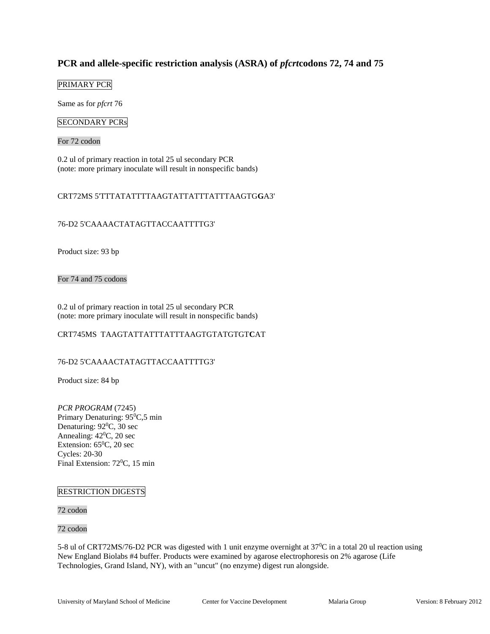# **PCR and allele-specific restriction analysis (ASRA) of** *pfcrt***codons 72, 74 and 75**

# PRIMARY PCR

Same as for *pfcrt* 76

# SECONDARY PCRs

For 72 codon

0.2 ul of primary reaction in total 25 ul secondary PCR (note: more primary inoculate will result in nonspecific bands)

# CRT72MS 5'TTTATATTTTAAGTATTATTTATTTAAGTG**G**A3'

# 76-D2 5'CAAAACTATAGTTACCAATTTTG3'

Product size: 93 bp

For 74 and 75 codons

0.2 ul of primary reaction in total 25 ul secondary PCR (note: more primary inoculate will result in nonspecific bands)

# CRT745MS TAAGTATTATTTATTTAAGTGTATGTGT**C**AT

### 76-D2 5'CAAAACTATAGTTACCAATTTTG3'

Product size: 84 bp

*PCR PROGRAM* (7245) Primary Denaturing: 95<sup>0</sup>C,5 min Denaturing:  $92^0C$ , 30 sec Annealing:  $42^0C$ , 20 sec Extension: 65<sup>0</sup>C, 20 sec Cycles: 20-30 Final Extension: 72<sup>0</sup>C, 15 min

### RESTRICTION DIGESTS

72 codon

#### 72 codon

5-8 ul of CRT72MS/76-D2 PCR was digested with 1 unit enzyme overnight at  $37^{\circ}$ C in a total 20 ul reaction using New England Biolabs #4 buffer. Products were examined by agarose electrophoresis on 2% agarose (Life Technologies, Grand Island, NY), with an "uncut" (no enzyme) digest run alongside.